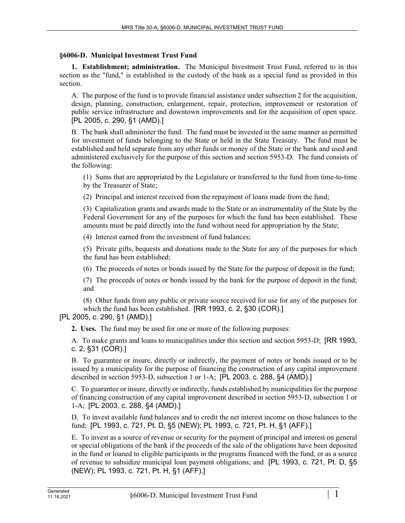## **§6006-D. Municipal Investment Trust Fund**

**1. Establishment; administration.** The Municipal Investment Trust Fund, referred to in this section as the "fund," is established in the custody of the bank as a special fund as provided in this section.

A. The purpose of the fund is to provide financial assistance under subsection 2 for the acquisition, design, planning, construction, enlargement, repair, protection, improvement or restoration of public service infrastructure and downtown improvements and for the acquisition of open space. [PL 2005, c. 290, §1 (AMD).]

B. The bank shall administer the fund. The fund must be invested in the same manner as permitted for investment of funds belonging to the State or held in the State Treasury. The fund must be established and held separate from any other funds or money of the State or the bank and used and administered exclusively for the purpose of this section and section 5953-D. The fund consists of the following:

(1) Sums that are appropriated by the Legislature or transferred to the fund from time-to-time by the Treasurer of State;

(2) Principal and interest received from the repayment of loans made from the fund;

(3) Capitalization grants and awards made to the State or an instrumentality of the State by the Federal Government for any of the purposes for which the fund has been established. These amounts must be paid directly into the fund without need for appropriation by the State;

(4) Interest earned from the investment of fund balances;

(5) Private gifts, bequests and donations made to the State for any of the purposes for which the fund has been established;

(6) The proceeds of notes or bonds issued by the State for the purpose of deposit in the fund;

(7) The proceeds of notes or bonds issued by the bank for the purpose of deposit in the fund; and

(8) Other funds from any public or private source received for use for any of the purposes for which the fund has been established. [RR 1993, c. 2, §30 (COR).]

## [PL 2005, c. 290, §1 (AMD).]

**2. Uses.** The fund may be used for one or more of the following purposes:

A. To make grants and loans to municipalities under this section and section 5953-D; [RR 1993, c. 2, §31 (COR).]

B. To guarantee or insure, directly or indirectly, the payment of notes or bonds issued or to be issued by a municipality for the purpose of financing the construction of any capital improvement described in section 5953‑D, subsection 1 or 1-A; [PL 2003, c. 288, §4 (AMD).]

C. To guarantee or insure, directly or indirectly, funds established by municipalities for the purpose of financing construction of any capital improvement described in section 5953‑D, subsection 1 or 1-A; [PL 2003, c. 288, §4 (AMD).]

D. To invest available fund balances and to credit the net interest income on those balances to the fund; [PL 1993, c. 721, Pt. D, §5 (NEW); PL 1993, c. 721, Pt. H, §1 (AFF).]

E. To invest as a source of revenue or security for the payment of principal and interest on general or special obligations of the bank if the proceeds of the sale of the obligations have been deposited in the fund or loaned to eligible participants in the programs financed with the fund, or as a source of revenue to subsidize municipal loan payment obligations; and [PL 1993, c. 721, Pt. D, §5 (NEW); PL 1993, c. 721, Pt. H, §1 (AFF).]